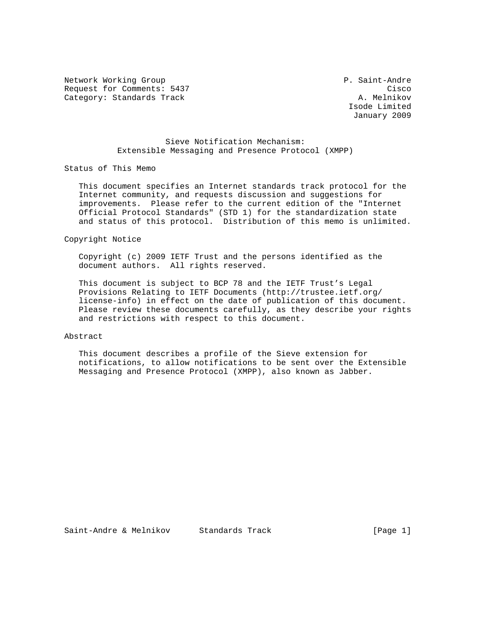Network Working Group P. Saint-Andre Request for Comments: 5437 Cisco<br>Category: Standards Track Category: Standards Track Category: Standards Track

 Isode Limited January 2009

 Sieve Notification Mechanism: Extensible Messaging and Presence Protocol (XMPP)

Status of This Memo

 This document specifies an Internet standards track protocol for the Internet community, and requests discussion and suggestions for improvements. Please refer to the current edition of the "Internet Official Protocol Standards" (STD 1) for the standardization state and status of this protocol. Distribution of this memo is unlimited.

Copyright Notice

 Copyright (c) 2009 IETF Trust and the persons identified as the document authors. All rights reserved.

 This document is subject to BCP 78 and the IETF Trust's Legal Provisions Relating to IETF Documents (http://trustee.ietf.org/ license-info) in effect on the date of publication of this document. Please review these documents carefully, as they describe your rights and restrictions with respect to this document.

### Abstract

 This document describes a profile of the Sieve extension for notifications, to allow notifications to be sent over the Extensible Messaging and Presence Protocol (XMPP), also known as Jabber.

Saint-Andre & Melnikov Standards Track (Page 1)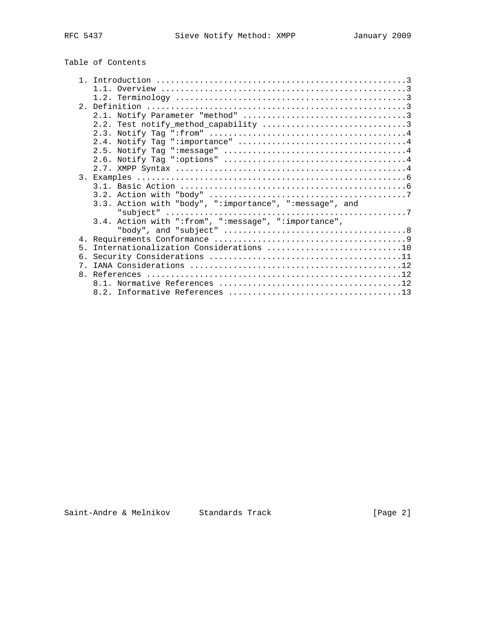# Table of Contents

|                | 1 1                                                     |
|----------------|---------------------------------------------------------|
|                |                                                         |
|                |                                                         |
|                |                                                         |
|                |                                                         |
|                |                                                         |
|                |                                                         |
|                |                                                         |
|                |                                                         |
|                |                                                         |
|                |                                                         |
|                |                                                         |
|                |                                                         |
|                |                                                         |
|                | 3.3. Action with "body", ":importance", ":message", and |
|                |                                                         |
|                | 3.4. Action with ":from", ":message", ":importance",    |
|                |                                                         |
|                |                                                         |
|                |                                                         |
| $5 -$          | Internationalization Considerations 10                  |
| 6.             |                                                         |
| 7              |                                                         |
| 8 <sub>1</sub> |                                                         |
|                |                                                         |
|                |                                                         |
|                |                                                         |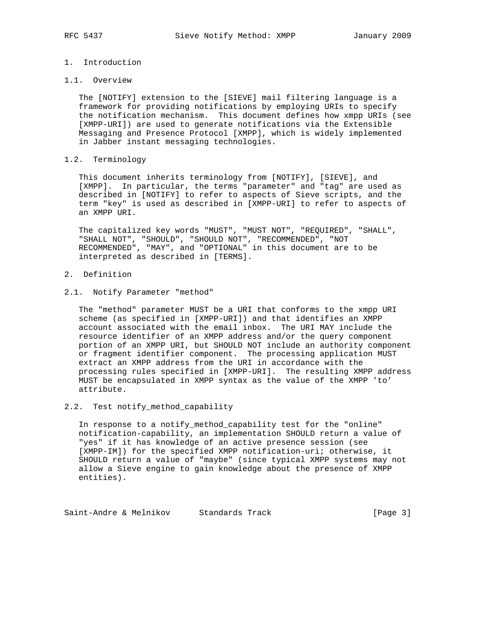# 1. Introduction

# 1.1. Overview

 The [NOTIFY] extension to the [SIEVE] mail filtering language is a framework for providing notifications by employing URIs to specify the notification mechanism. This document defines how xmpp URIs (see [XMPP-URI]) are used to generate notifications via the Extensible Messaging and Presence Protocol [XMPP], which is widely implemented in Jabber instant messaging technologies.

# 1.2. Terminology

 This document inherits terminology from [NOTIFY], [SIEVE], and [XMPP]. In particular, the terms "parameter" and "tag" are used as described in [NOTIFY] to refer to aspects of Sieve scripts, and the term "key" is used as described in [XMPP-URI] to refer to aspects of an XMPP URI.

 The capitalized key words "MUST", "MUST NOT", "REQUIRED", "SHALL", "SHALL NOT", "SHOULD", "SHOULD NOT", "RECOMMENDED", "NOT RECOMMENDED", "MAY", and "OPTIONAL" in this document are to be interpreted as described in [TERMS].

2. Definition

# 2.1. Notify Parameter "method"

 The "method" parameter MUST be a URI that conforms to the xmpp URI scheme (as specified in [XMPP-URI]) and that identifies an XMPP account associated with the email inbox. The URI MAY include the resource identifier of an XMPP address and/or the query component portion of an XMPP URI, but SHOULD NOT include an authority component or fragment identifier component. The processing application MUST extract an XMPP address from the URI in accordance with the processing rules specified in [XMPP-URI]. The resulting XMPP address MUST be encapsulated in XMPP syntax as the value of the XMPP 'to' attribute.

# 2.2. Test notify\_method\_capability

 In response to a notify\_method\_capability test for the "online" notification-capability, an implementation SHOULD return a value of "yes" if it has knowledge of an active presence session (see [XMPP-IM]) for the specified XMPP notification-uri; otherwise, it SHOULD return a value of "maybe" (since typical XMPP systems may not allow a Sieve engine to gain knowledge about the presence of XMPP entities).

Saint-Andre & Melnikov Standards Track [Page 3]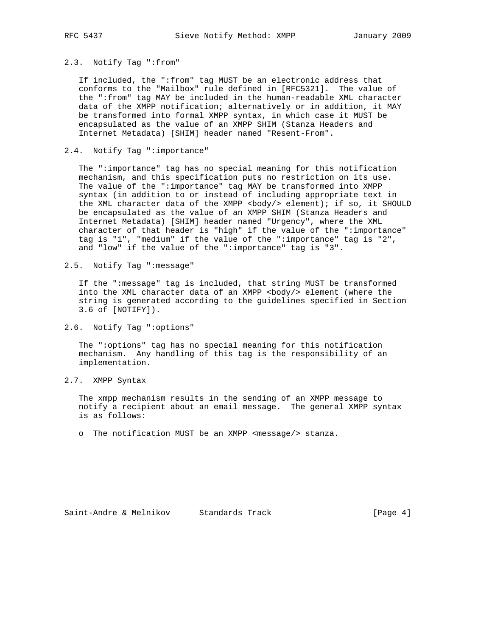# 2.3. Notify Tag ":from"

 If included, the ":from" tag MUST be an electronic address that conforms to the "Mailbox" rule defined in [RFC5321]. The value of the ":from" tag MAY be included in the human-readable XML character data of the XMPP notification; alternatively or in addition, it MAY be transformed into formal XMPP syntax, in which case it MUST be encapsulated as the value of an XMPP SHIM (Stanza Headers and Internet Metadata) [SHIM] header named "Resent-From".

# 2.4. Notify Tag ":importance"

 The ":importance" tag has no special meaning for this notification mechanism, and this specification puts no restriction on its use. The value of the ":importance" tag MAY be transformed into XMPP syntax (in addition to or instead of including appropriate text in the XML character data of the XMPP <br/>body/> element); if so, it SHOULD be encapsulated as the value of an XMPP SHIM (Stanza Headers and Internet Metadata) [SHIM] header named "Urgency", where the XML character of that header is "high" if the value of the ":importance" tag is "1", "medium" if the value of the ":importance" tag is "2", and "low" if the value of the ":importance" tag is "3".

2.5. Notify Tag ":message"

 If the ":message" tag is included, that string MUST be transformed into the XML character data of an XMPP <br/>body/> element (where the string is generated according to the guidelines specified in Section 3.6 of [NOTIFY]).

2.6. Notify Tag ":options"

 The ":options" tag has no special meaning for this notification mechanism. Any handling of this tag is the responsibility of an implementation.

2.7. XMPP Syntax

 The xmpp mechanism results in the sending of an XMPP message to notify a recipient about an email message. The general XMPP syntax is as follows:

o The notification MUST be an XMPP <message/> stanza.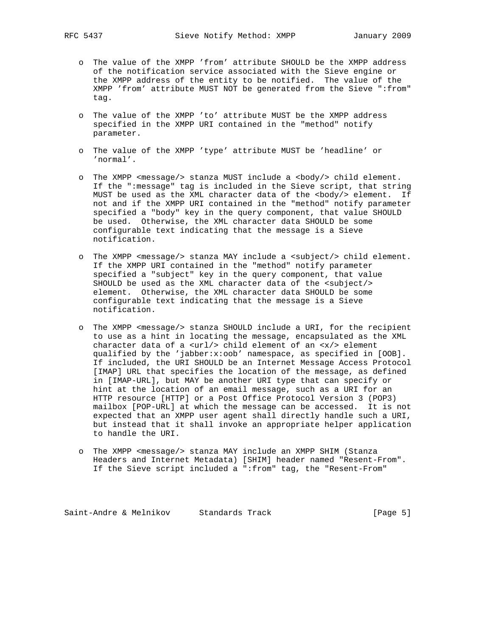- o The value of the XMPP 'from' attribute SHOULD be the XMPP address of the notification service associated with the Sieve engine or the XMPP address of the entity to be notified. The value of the XMPP 'from' attribute MUST NOT be generated from the Sieve ":from" tag.
- o The value of the XMPP 'to' attribute MUST be the XMPP address specified in the XMPP URI contained in the "method" notify parameter.
- o The value of the XMPP 'type' attribute MUST be 'headline' or 'normal'.
- o The XMPP <message/> stanza MUST include a <body/> child element. If the ":message" tag is included in the Sieve script, that string MUST be used as the XML character data of the <br/>body/> element. If not and if the XMPP URI contained in the "method" notify parameter specified a "body" key in the query component, that value SHOULD be used. Otherwise, the XML character data SHOULD be some configurable text indicating that the message is a Sieve notification.
- o The XMPP <message/> stanza MAY include a <subject/> child element. If the XMPP URI contained in the "method" notify parameter specified a "subject" key in the query component, that value SHOULD be used as the XML character data of the <subject/> element. Otherwise, the XML character data SHOULD be some configurable text indicating that the message is a Sieve notification.
- o The XMPP <message/> stanza SHOULD include a URI, for the recipient to use as a hint in locating the message, encapsulated as the XML character data of a <url/> child element of an <x/> element qualified by the 'jabber:x:oob' namespace, as specified in [OOB]. If included, the URI SHOULD be an Internet Message Access Protocol [IMAP] URL that specifies the location of the message, as defined in [IMAP-URL], but MAY be another URI type that can specify or hint at the location of an email message, such as a URI for an HTTP resource [HTTP] or a Post Office Protocol Version 3 (POP3) mailbox [POP-URL] at which the message can be accessed. It is not expected that an XMPP user agent shall directly handle such a URI, but instead that it shall invoke an appropriate helper application to handle the URI.
- o The XMPP <message/> stanza MAY include an XMPP SHIM (Stanza Headers and Internet Metadata) [SHIM] header named "Resent-From". If the Sieve script included a ":from" tag, the "Resent-From"

Saint-Andre & Melnikov Standards Track [Page 5]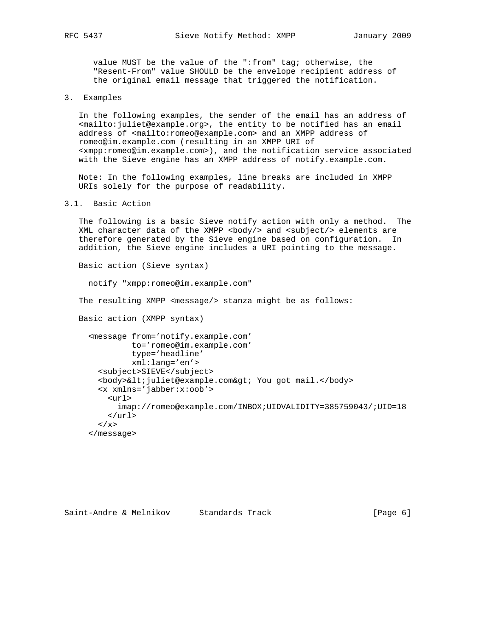value MUST be the value of the ":from" tag; otherwise, the "Resent-From" value SHOULD be the envelope recipient address of the original email message that triggered the notification.

3. Examples

 In the following examples, the sender of the email has an address of <mailto:juliet@example.org>, the entity to be notified has an email address of <mailto:romeo@example.com> and an XMPP address of romeo@im.example.com (resulting in an XMPP URI of <xmpp:romeo@im.example.com>), and the notification service associated with the Sieve engine has an XMPP address of notify.example.com.

 Note: In the following examples, line breaks are included in XMPP URIs solely for the purpose of readability.

```
3.1. Basic Action
```
 The following is a basic Sieve notify action with only a method. The XML character data of the XMPP <br/>body/> and <subject/> elements are therefore generated by the Sieve engine based on configuration. In addition, the Sieve engine includes a URI pointing to the message.

Basic action (Sieve syntax)

notify "xmpp:romeo@im.example.com"

The resulting XMPP <message/> stanza might be as follows:

Basic action (XMPP syntax)

```
 <message from='notify.example.com'
         to='romeo@im.example.com'
         type='headline'
         xml:lang='en'>
  <subject>SIEVE</subject>
 <body>&lt; juliet@example.com&gt; You got mail.</body>
  <x xmlns='jabber:x:oob'>
    <url>
      imap://romeo@example.com/INBOX;UIDVALIDITY=385759043/;UID=18
    </url>
 \langle / x >
</message>
```

```
Saint-Andre & Melnikov Standards Track (Page 6)
```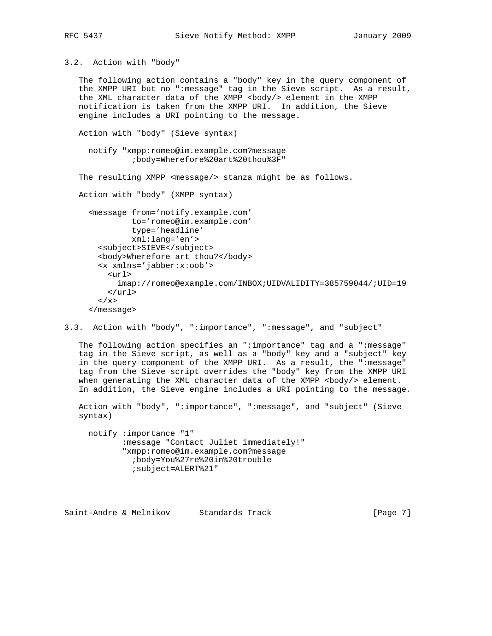3.2. Action with "body"

 The following action contains a "body" key in the query component of the XMPP URI but no ":message" tag in the Sieve script. As a result, the XML character data of the XMPP <body/> element in the XMPP notification is taken from the XMPP URI. In addition, the Sieve engine includes a URI pointing to the message.

Action with "body" (Sieve syntax)

 notify "xmpp:romeo@im.example.com?message ;body=Wherefore%20art%20thou%3F"

The resulting XMPP <message/> stanza might be as follows.

Action with "body" (XMPP syntax)

```
 <message from='notify.example.com'
          to='romeo@im.example.com'
           type='headline'
          xml:lang='en'>
  <subject>SIEVE</subject>
  <body>Wherefore art thou?</body>
  <x xmlns='jabber:x:oob'>
   \langle \text{unl} \rangle imap://romeo@example.com/INBOX;UIDVALIDITY=385759044/;UID=19
   \langle \text{curl} \rangle\langle / x >
</message>
```
3.3. Action with "body", ":importance", ":message", and "subject"

 The following action specifies an ":importance" tag and a ":message" tag in the Sieve script, as well as a "body" key and a "subject" key in the query component of the XMPP URI. As a result, the ":message" tag from the Sieve script overrides the "body" key from the XMPP URI when generating the XML character data of the XMPP <br/>body/> element. In addition, the Sieve engine includes a URI pointing to the message.

 Action with "body", ":importance", ":message", and "subject" (Sieve syntax)

 notify :importance "1" :message "Contact Juliet immediately!" "xmpp:romeo@im.example.com?message ;body=You%27re%20in%20trouble ;subject=ALERT%21"

Saint-Andre & Melnikov Standards Track (Page 7)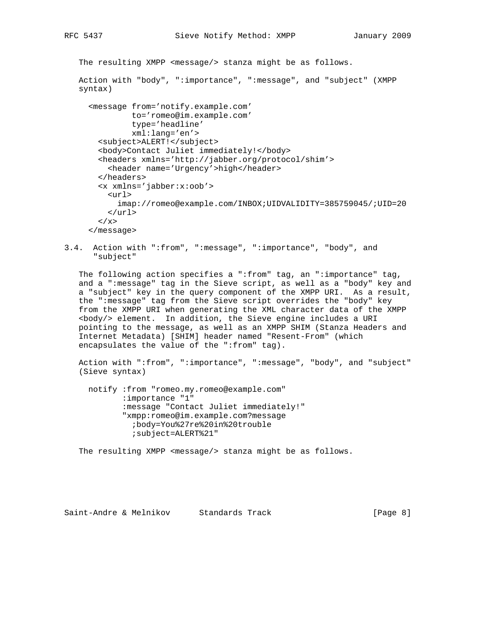The resulting XMPP <message/> stanza might be as follows.

```
 Action with "body", ":importance", ":message", and "subject" (XMPP
syntax)
```
 <message from='notify.example.com' to='romeo@im.example.com' type='headline' xml:lang='en'> <subject>ALERT!</subject> <body>Contact Juliet immediately!</body> <headers xmlns='http://jabber.org/protocol/shim'> <header name='Urgency'>high</header> </headers> <x xmlns='jabber:x:oob'> <url> imap://romeo@example.com/INBOX;UIDVALIDITY=385759045/;UID=20  $\langle \text{curl} \rangle$  $\langle x \rangle$ </message>

3.4. Action with ":from", ":message", ":importance", "body", and "subject"

 The following action specifies a ":from" tag, an ":importance" tag, and a ":message" tag in the Sieve script, as well as a "body" key and a "subject" key in the query component of the XMPP URI. As a result, the ":message" tag from the Sieve script overrides the "body" key from the XMPP URI when generating the XML character data of the XMPP <body/> element. In addition, the Sieve engine includes a URI pointing to the message, as well as an XMPP SHIM (Stanza Headers and Internet Metadata) [SHIM] header named "Resent-From" (which encapsulates the value of the ":from" tag).

 Action with ":from", ":importance", ":message", "body", and "subject" (Sieve syntax)

 notify :from "romeo.my.romeo@example.com" :importance "1" :message "Contact Juliet immediately!" "xmpp:romeo@im.example.com?message ;body=You%27re%20in%20trouble ;subject=ALERT%21"

The resulting XMPP <message/> stanza might be as follows.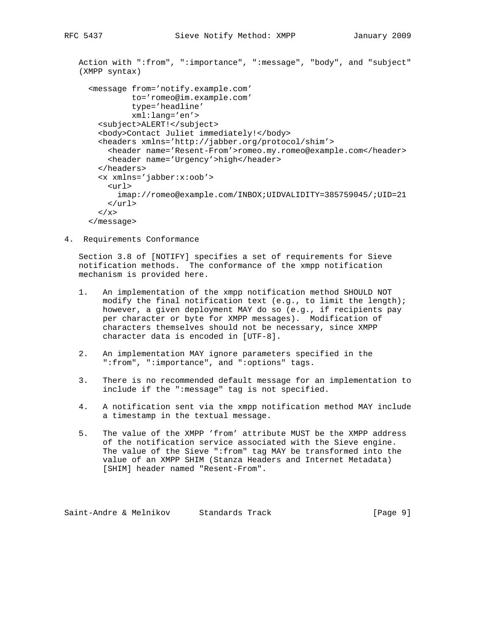```
 Action with ":from", ":importance", ":message", "body", and "subject"
(XMPP syntax)
  <message from='notify.example.com'
           to='romeo@im.example.com'
            type='headline'
           xml:lang='en'>
    <subject>ALERT!</subject>
    <body>Contact Juliet immediately!</body>
    <headers xmlns='http://jabber.org/protocol/shim'>
      <header name='Resent-From'>romeo.my.romeo@example.com</header>
      <header name='Urgency'>high</header>
    </headers>
    <x xmlns='jabber:x:oob'>
      <url>
        imap://romeo@example.com/INBOX;UIDVALIDITY=385759045/;UID=21
     \langle \text{url} \rangle\langle / x >
  </message>
```
4. Requirements Conformance

 Section 3.8 of [NOTIFY] specifies a set of requirements for Sieve notification methods. The conformance of the xmpp notification mechanism is provided here.

- 1. An implementation of the xmpp notification method SHOULD NOT modify the final notification text (e.g., to limit the length); however, a given deployment MAY do so (e.g., if recipients pay per character or byte for XMPP messages). Modification of characters themselves should not be necessary, since XMPP character data is encoded in [UTF-8].
- 2. An implementation MAY ignore parameters specified in the ":from", ":importance", and ":options" tags.
- 3. There is no recommended default message for an implementation to include if the ":message" tag is not specified.
- 4. A notification sent via the xmpp notification method MAY include a timestamp in the textual message.
- 5. The value of the XMPP 'from' attribute MUST be the XMPP address of the notification service associated with the Sieve engine. The value of the Sieve ":from" tag MAY be transformed into the value of an XMPP SHIM (Stanza Headers and Internet Metadata) [SHIM] header named "Resent-From".

Saint-Andre & Melnikov Standards Track (Page 9]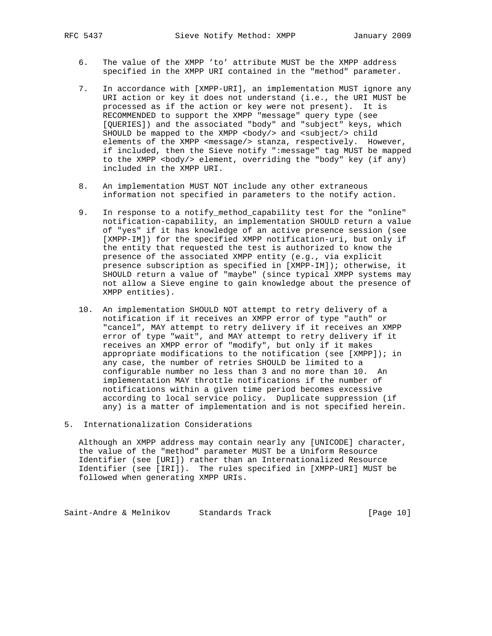- 6. The value of the XMPP 'to' attribute MUST be the XMPP address specified in the XMPP URI contained in the "method" parameter.
- 7. In accordance with [XMPP-URI], an implementation MUST ignore any URI action or key it does not understand (i.e., the URI MUST be processed as if the action or key were not present). It is RECOMMENDED to support the XMPP "message" query type (see [QUERIES]) and the associated "body" and "subject" keys, which SHOULD be mapped to the XMPP <br/>body/> and <subject/>>ct/> child elements of the XMPP <message/> stanza, respectively. However, if included, then the Sieve notify ":message" tag MUST be mapped to the XMPP <body/> element, overriding the "body" key (if any) included in the XMPP URI.
- 8. An implementation MUST NOT include any other extraneous information not specified in parameters to the notify action.
- 9. In response to a notify\_method\_capability test for the "online" notification-capability, an implementation SHOULD return a value of "yes" if it has knowledge of an active presence session (see [XMPP-IM]) for the specified XMPP notification-uri, but only if the entity that requested the test is authorized to know the presence of the associated XMPP entity (e.g., via explicit presence subscription as specified in [XMPP-IM]); otherwise, it SHOULD return a value of "maybe" (since typical XMPP systems may not allow a Sieve engine to gain knowledge about the presence of XMPP entities).
- 10. An implementation SHOULD NOT attempt to retry delivery of a notification if it receives an XMPP error of type "auth" or "cancel", MAY attempt to retry delivery if it receives an XMPP error of type "wait", and MAY attempt to retry delivery if it receives an XMPP error of "modify", but only if it makes appropriate modifications to the notification (see [XMPP]); in any case, the number of retries SHOULD be limited to a configurable number no less than 3 and no more than 10. An implementation MAY throttle notifications if the number of notifications within a given time period becomes excessive according to local service policy. Duplicate suppression (if any) is a matter of implementation and is not specified herein.
- 5. Internationalization Considerations

 Although an XMPP address may contain nearly any [UNICODE] character, the value of the "method" parameter MUST be a Uniform Resource Identifier (see [URI]) rather than an Internationalized Resource Identifier (see [IRI]). The rules specified in [XMPP-URI] MUST be followed when generating XMPP URIs.

Saint-Andre & Melnikov Standards Track [Page 10]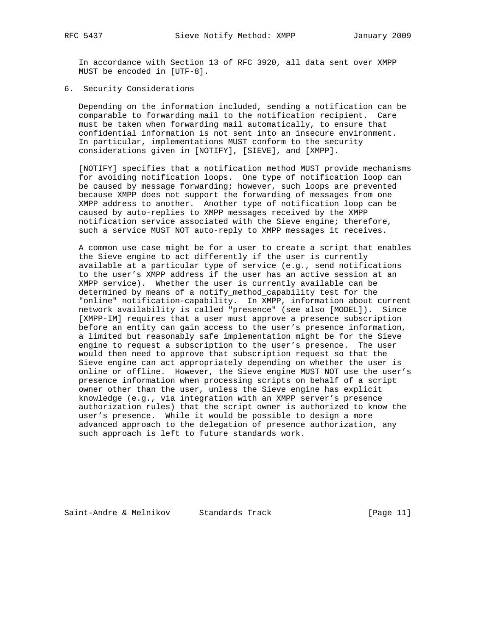In accordance with Section 13 of RFC 3920, all data sent over XMPP MUST be encoded in [UTF-8].

# 6. Security Considerations

 Depending on the information included, sending a notification can be comparable to forwarding mail to the notification recipient. Care must be taken when forwarding mail automatically, to ensure that confidential information is not sent into an insecure environment. In particular, implementations MUST conform to the security considerations given in [NOTIFY], [SIEVE], and [XMPP].

 [NOTIFY] specifies that a notification method MUST provide mechanisms for avoiding notification loops. One type of notification loop can be caused by message forwarding; however, such loops are prevented because XMPP does not support the forwarding of messages from one XMPP address to another. Another type of notification loop can be caused by auto-replies to XMPP messages received by the XMPP notification service associated with the Sieve engine; therefore, such a service MUST NOT auto-reply to XMPP messages it receives.

 A common use case might be for a user to create a script that enables the Sieve engine to act differently if the user is currently available at a particular type of service (e.g., send notifications to the user's XMPP address if the user has an active session at an XMPP service). Whether the user is currently available can be determined by means of a notify\_method\_capability test for the "online" notification-capability. In XMPP, information about current network availability is called "presence" (see also [MODEL]). Since [XMPP-IM] requires that a user must approve a presence subscription before an entity can gain access to the user's presence information, a limited but reasonably safe implementation might be for the Sieve engine to request a subscription to the user's presence. The user would then need to approve that subscription request so that the Sieve engine can act appropriately depending on whether the user is online or offline. However, the Sieve engine MUST NOT use the user's presence information when processing scripts on behalf of a script owner other than the user, unless the Sieve engine has explicit knowledge (e.g., via integration with an XMPP server's presence authorization rules) that the script owner is authorized to know the user's presence. While it would be possible to design a more advanced approach to the delegation of presence authorization, any such approach is left to future standards work.

Saint-Andre & Melnikov Standards Track [Page 11]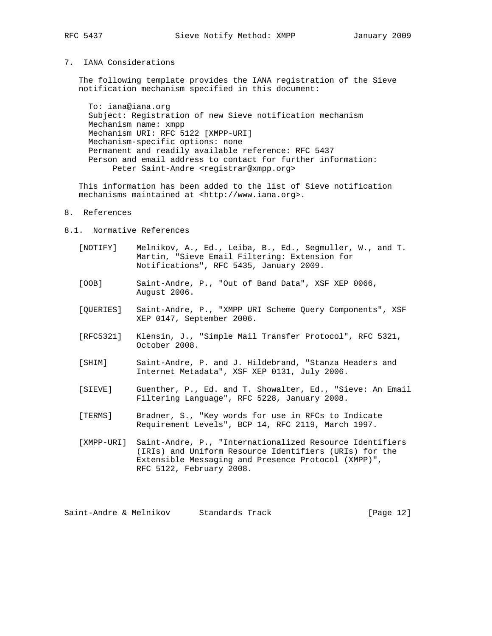# 7. IANA Considerations

 The following template provides the IANA registration of the Sieve notification mechanism specified in this document:

 To: iana@iana.org Subject: Registration of new Sieve notification mechanism Mechanism name: xmpp Mechanism URI: RFC 5122 [XMPP-URI] Mechanism-specific options: none Permanent and readily available reference: RFC 5437 Person and email address to contact for further information: Peter Saint-Andre <registrar@xmpp.org>

 This information has been added to the list of Sieve notification mechanisms maintained at <http://www.iana.org>.

# 8. References

- 8.1. Normative References
	- [NOTIFY] Melnikov, A., Ed., Leiba, B., Ed., Segmuller, W., and T. Martin, "Sieve Email Filtering: Extension for Notifications", RFC 5435, January 2009.
	- [OOB] Saint-Andre, P., "Out of Band Data", XSF XEP 0066, August 2006.
	- [QUERIES] Saint-Andre, P., "XMPP URI Scheme Query Components", XSF XEP 0147, September 2006.
	- [RFC5321] Klensin, J., "Simple Mail Transfer Protocol", RFC 5321, October 2008.
	- [SHIM] Saint-Andre, P. and J. Hildebrand, "Stanza Headers and Internet Metadata", XSF XEP 0131, July 2006.
	- [SIEVE] Guenther, P., Ed. and T. Showalter, Ed., "Sieve: An Email Filtering Language", RFC 5228, January 2008.
	- [TERMS] Bradner, S., "Key words for use in RFCs to Indicate Requirement Levels", BCP 14, RFC 2119, March 1997.
	- [XMPP-URI] Saint-Andre, P., "Internationalized Resource Identifiers (IRIs) and Uniform Resource Identifiers (URIs) for the Extensible Messaging and Presence Protocol (XMPP)", RFC 5122, February 2008.

Saint-Andre & Melnikov Standards Track [Page 12]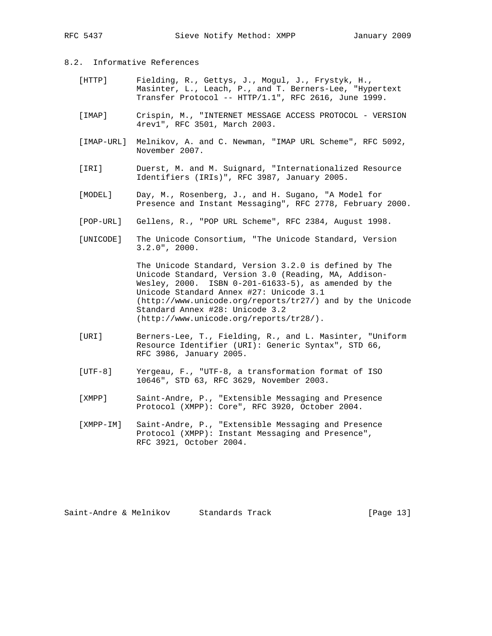# 8.2. Informative References

- [HTTP] Fielding, R., Gettys, J., Mogul, J., Frystyk, H., Masinter, L., Leach, P., and T. Berners-Lee, "Hypertext Transfer Protocol -- HTTP/1.1", RFC 2616, June 1999.
- [IMAP] Crispin, M., "INTERNET MESSAGE ACCESS PROTOCOL VERSION 4rev1", RFC 3501, March 2003.
- [IMAP-URL] Melnikov, A. and C. Newman, "IMAP URL Scheme", RFC 5092, November 2007.
- [IRI] Duerst, M. and M. Suignard, "Internationalized Resource Identifiers (IRIs)", RFC 3987, January 2005.
- [MODEL] Day, M., Rosenberg, J., and H. Sugano, "A Model for Presence and Instant Messaging", RFC 2778, February 2000.
- [POP-URL] Gellens, R., "POP URL Scheme", RFC 2384, August 1998.
- [UNICODE] The Unicode Consortium, "The Unicode Standard, Version 3.2.0", 2000.

 The Unicode Standard, Version 3.2.0 is defined by The Unicode Standard, Version 3.0 (Reading, MA, Addison- Wesley, 2000. ISBN 0-201-61633-5), as amended by the Unicode Standard Annex #27: Unicode 3.1 (http://www.unicode.org/reports/tr27/) and by the Unicode Standard Annex #28: Unicode 3.2 (http://www.unicode.org/reports/tr28/).

- [URI] Berners-Lee, T., Fielding, R., and L. Masinter, "Uniform Resource Identifier (URI): Generic Syntax", STD 66, RFC 3986, January 2005.
- [UTF-8] Yergeau, F., "UTF-8, a transformation format of ISO 10646", STD 63, RFC 3629, November 2003.
- [XMPP] Saint-Andre, P., "Extensible Messaging and Presence Protocol (XMPP): Core", RFC 3920, October 2004.
- [XMPP-IM] Saint-Andre, P., "Extensible Messaging and Presence Protocol (XMPP): Instant Messaging and Presence", RFC 3921, October 2004.

Saint-Andre & Melnikov Standards Track [Page 13]